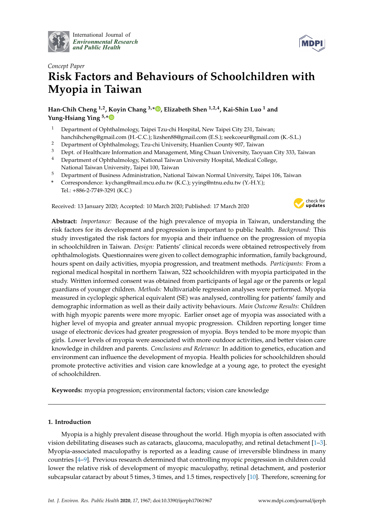

International Journal of *[Environmental Research](http://www.mdpi.com/journal/ijerph) and Public Health*



# *Concept Paper* **Risk Factors and Behaviours of Schoolchildren with Myopia in Taiwan**

**Han-Chih Cheng 1,2, Koyin Chang 3,\* [,](https://orcid.org/0000-0001-8045-9521) Elizabeth Shen 1,2,4, Kai-Shin Luo <sup>1</sup> and Yung-Hsiang Ying 5,[\\*](https://orcid.org/0000-0001-7484-9515)**

- <sup>1</sup> Department of Ophthalmology, Taipei Tzu-chi Hospital, New Taipei City 231, Taiwan; hanchihcheng@gmail.com (H.-C.C.); lizshen88@gmail.com (E.S.); seekcoeur@gmail.com (K.-S.L.)
- <sup>2</sup> Department of Ophthalmology, Tzu-chi University, Huanlien County 907, Taiwan
- <sup>3</sup> Dept. of Healthcare Information and Management, Ming Chuan University, Taoyuan City 333, Taiwan
- <sup>4</sup> Department of Ophthalmology, National Taiwan University Hospital, Medical College,
- National Taiwan University, Taipei 100, Taiwan
- <sup>5</sup> Department of Business Administration, National Taiwan Normal University, Taipei 106, Taiwan
- **\*** Correspondence: kychang@mail.mcu.edu.tw (K.C.); yying@ntnu.edu.tw (Y.-H.Y.); Tel.: +886-2-7749-3291 (K.C.)

Received: 13 January 2020; Accepted: 10 March 2020; Published: 17 March 2020



**Abstract:** *Importance:* Because of the high prevalence of myopia in Taiwan, understanding the risk factors for its development and progression is important to public health. *Background:* This study investigated the risk factors for myopia and their influence on the progression of myopia in schoolchildren in Taiwan. *Design:* Patients' clinical records were obtained retrospectively from ophthalmologists. Questionnaires were given to collect demographic information, family background, hours spent on daily activities, myopia progression, and treatment methods. *Participants:* From a regional medical hospital in northern Taiwan, 522 schoolchildren with myopia participated in the study. Written informed consent was obtained from participants of legal age or the parents or legal guardians of younger children. *Methods:* Multivariable regression analyses were performed. Myopia measured in cycloplegic spherical equivalent (SE) was analysed, controlling for patients' family and demographic information as well as their daily activity behaviours. *Main Outcome Results:* Children with high myopic parents were more myopic. Earlier onset age of myopia was associated with a higher level of myopia and greater annual myopic progression. Children reporting longer time usage of electronic devices had greater progression of myopia. Boys tended to be more myopic than girls. Lower levels of myopia were associated with more outdoor activities, and better vision care knowledge in children and parents. *Conclusions and Relevance:* In addition to genetics, education and environment can influence the development of myopia. Health policies for schoolchildren should promote protective activities and vision care knowledge at a young age, to protect the eyesight of schoolchildren.

**Keywords:** myopia progression; environmental factors; vision care knowledge

# **1. Introduction**

Myopia is a highly prevalent disease throughout the world. High myopia is often associated with vision debilitating diseases such as cataracts, glaucoma, maculopathy, and retinal detachment [\[1–](#page-10-0)[3\]](#page-10-1). Myopia-associated maculopathy is reported as a leading cause of irreversible blindness in many countries [\[4](#page-10-2)[–9\]](#page-10-3). Previous research determined that controlling myopic progression in children could lower the relative risk of development of myopic maculopathy, retinal detachment, and posterior subcapsular cataract by about 5 times, 3 times, and 1.5 times, respectively [\[10\]](#page-10-4). Therefore, screening for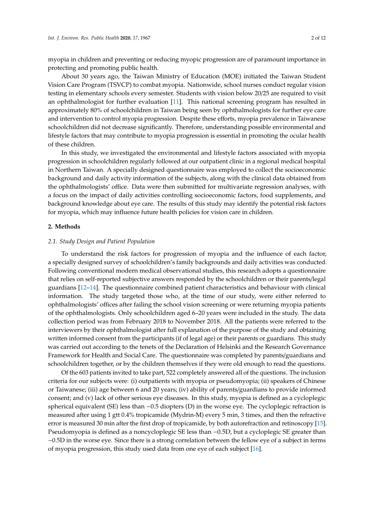myopia in children and preventing or reducing myopic progression are of paramount importance in protecting and promoting public health.

About 30 years ago, the Taiwan Ministry of Education (MOE) initiated the Taiwan Student Vision Care Program (TSVCP) to combat myopia. Nationwide, school nurses conduct regular vision testing in elementary schools every semester. Students with vision below 20/25 are required to visit an ophthalmologist for further evaluation [\[11\]](#page-10-5). This national screening program has resulted in approximately 80% of schoolchildren in Taiwan being seen by ophthalmologists for further eye care and intervention to control myopia progression. Despite these efforts, myopia prevalence in Taiwanese schoolchildren did not decrease significantly. Therefore, understanding possible environmental and lifestyle factors that may contribute to myopia progression is essential in promoting the ocular health of these children.

In this study, we investigated the environmental and lifestyle factors associated with myopia progression in schoolchildren regularly followed at our outpatient clinic in a regional medical hospital in Northern Taiwan. A specially designed questionnaire was employed to collect the socioeconomic background and daily activity information of the subjects, along with the clinical data obtained from the ophthalmologists' office. Data were then submitted for multivariate regression analyses, with a focus on the impact of daily activities controlling socioeconomic factors, food supplements, and background knowledge about eye care. The results of this study may identify the potential risk factors for myopia, which may influence future health policies for vision care in children.

#### **2. Methods**

## *2.1. Study Design and Patient Population*

To understand the risk factors for progression of myopia and the influence of each factor, a specially designed survey of schoolchildren's family backgrounds and daily activities was conducted. Following conventional modern medical observational studies, this research adopts a questionnaire that relies on self-reported subjective answers responded by the schoolchildren or their parents/legal guardians [\[12–](#page-10-6)[14\]](#page-10-7). The questionnaire combined patient characteristics and behaviour with clinical information. The study targeted those who, at the time of our study, were either referred to ophthalmologists' offices after failing the school vision screening or were returning myopia patients of the ophthalmologists. Only schoolchildren aged 6–20 years were included in the study. The data collection period was from February 2018 to November 2018. All the patients were referred to the interviewers by their ophthalmologist after full explanation of the purpose of the study and obtaining written informed consent from the participants (if of legal age) or their parents or guardians. This study was carried out according to the tenets of the Declaration of Helsinki and the Research Governance Framework for Health and Social Care. The questionnaire was completed by parents/guardians and schoolchildren together, or by the children themselves if they were old enough to read the questions.

Of the 603 patients invited to take part, 522 completely answered all of the questions. The inclusion criteria for our subjects were: (i) outpatients with myopia or pseudomyopia; (ii) speakers of Chinese or Taiwanese; (iii) age between 6 and 20 years; (iv) ability of parents/guardians to provide informed consent; and (v) lack of other serious eye diseases. In this study, myopia is defined as a cycloplegic spherical equivalent (SE) less than −0.5 diopters (D) in the worse eye. The cycloplegic refraction is measured after using 1 gtt 0.4% tropicamide (Mydrin-M) every 5 min, 3 times, and then the refractive error is measured 30 min after the first drop of tropicamide, by both autorefraction and retinoscopy [\[15\]](#page-11-0). Pseudomyopia is defined as a noncycloplegic SE less than −0.5D, but a cycloplegic SE greater than −0.5D in the worse eye. Since there is a strong correlation between the fellow eye of a subject in terms of myopia progression, this study used data from one eye of each subject [\[16\]](#page-11-1).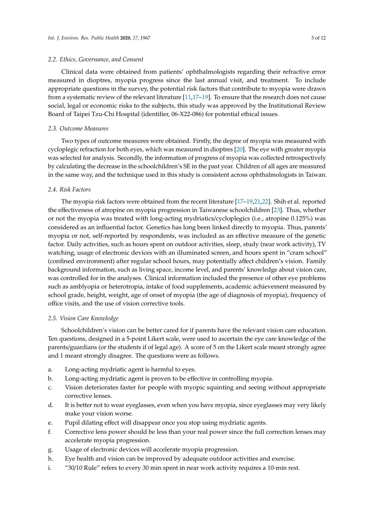### *2.2. Ethics, Governance, and Consent*

Clinical data were obtained from patients' ophthalmologists regarding their refractive error measured in dioptres, myopia progress since the last annual visit, and treatment. To include appropriate questions in the survey, the potential risk factors that contribute to myopia were drawn from a systematic review of the relevant literature [\[11,](#page-10-5)[17](#page-11-2)[–19\]](#page-11-3). To ensure that the research does not cause social, legal or economic risks to the subjects, this study was approved by the Institutional Review Board of Taipei Tzu-Chi Hospital (identifier, 06-X22-086) for potential ethical issues.

## *2.3. Outcome Measures*

Two types of outcome measures were obtained. Firstly, the degree of myopia was measured with cycloplegic refraction for both eyes, which was measured in dioptres [\[20\]](#page-11-4). The eye with greater myopia was selected for analysis. Secondly, the information of progress of myopia was collected retrospectively by calculating the decrease in the schoolchildren's SE in the past year. Children of all ages are measured in the same way, and the technique used in this study is consistent across ophthalmologists in Taiwan.

# *2.4. Risk Factors*

The myopia risk factors were obtained from the recent literature [\[17](#page-11-2)[–19](#page-11-3)[,21,](#page-11-5)[22\]](#page-11-6). Shih et al. reported the effectiveness of atropine on myopia progression in Taiwanese schoolchildren [\[23\]](#page-11-7). Thus, whether or not the myopia was treated with long-acting mydriatics/cycloplegics (i.e., atropine 0.125%) was considered as an influential factor. Genetics has long been linked directly to myopia. Thus, parents' myopia or not, self-reported by respondents, was included as an effective measure of the genetic factor. Daily activities, such as hours spent on outdoor activities, sleep, study (near work activity), TV watching, usage of electronic devices with an illuminated screen, and hours spent in "cram school" (confined environment) after regular school hours, may potentially affect children's vision. Family background information, such as living space, income level, and parents' knowledge about vision care, was controlled for in the analyses. Clinical information included the presence of other eye problems such as amblyopia or heterotropia, intake of food supplements, academic achievement measured by school grade, height, weight, age of onset of myopia (the age of diagnosis of myopia), frequency of office visits, and the use of vision corrective tools.

## *2.5. Vision Care Knowledge*

Schoolchildren's vision can be better cared for if parents have the relevant vision care education. Ten questions, designed in a 5-point Likert scale, were used to ascertain the eye care knowledge of the parents/guardians (or the students if of legal age). A score of 5 on the Likert scale meant strongly agree and 1 meant strongly disagree. The questions were as follows.

- a. Long-acting mydriatic agent is harmful to eyes.
- b. Long-acting mydriatic agent is proven to be effective in controlling myopia.
- c. Vision deteriorates faster for people with myopic squinting and seeing without appropriate corrective lenses.
- d. It is better not to wear eyeglasses, even when you have myopia, since eyeglasses may very likely make your vision worse.
- e. Pupil dilating effect will disappear once you stop using mydriatic agents.
- f. Corrective lens power should be less than your real power since the full correction lenses may accelerate myopia progression.
- g. Usage of electronic devices will accelerate myopia progression.
- h. Eye health and vision can be improved by adequate outdoor activities and exercise.
- i. "30/10 Rule" refers to every 30 min spent in near work activity requires a 10-min rest.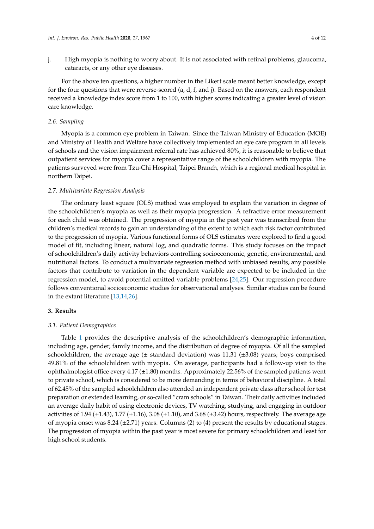j. High myopia is nothing to worry about. It is not associated with retinal problems, glaucoma, cataracts, or any other eye diseases.

For the above ten questions, a higher number in the Likert scale meant better knowledge, except for the four questions that were reverse-scored  $(a, d, f, and j)$ . Based on the answers, each respondent received a knowledge index score from 1 to 100, with higher scores indicating a greater level of vision care knowledge.

# *2.6. Sampling*

Myopia is a common eye problem in Taiwan. Since the Taiwan Ministry of Education (MOE) and Ministry of Health and Welfare have collectively implemented an eye care program in all levels of schools and the vision impairment referral rate has achieved 80%, it is reasonable to believe that outpatient services for myopia cover a representative range of the schoolchildren with myopia. The patients surveyed were from Tzu-Chi Hospital, Taipei Branch, which is a regional medical hospital in northern Taipei.

## *2.7. Multivariate Regression Analysis*

The ordinary least square (OLS) method was employed to explain the variation in degree of the schoolchildren's myopia as well as their myopia progression. A refractive error measurement for each child was obtained. The progression of myopia in the past year was transcribed from the children's medical records to gain an understanding of the extent to which each risk factor contributed to the progression of myopia. Various functional forms of OLS estimates were explored to find a good model of fit, including linear, natural log, and quadratic forms. This study focuses on the impact of schoolchildren's daily activity behaviors controlling socioeconomic, genetic, environmental, and nutritional factors. To conduct a multivariate regression method with unbiased results, any possible factors that contribute to variation in the dependent variable are expected to be included in the regression model, to avoid potential omitted variable problems [\[24](#page-11-8)[,25\]](#page-11-9). Our regression procedure follows conventional socioeconomic studies for observational analyses. Similar studies can be found in the extant literature [\[13](#page-10-8)[,14](#page-10-7)[,26\]](#page-11-10).

#### **3. Results**

## *3.1. Patient Demographics*

Table [1](#page-4-0) provides the descriptive analysis of the schoolchildren's demographic information, including age, gender, family income, and the distribution of degree of myopia. Of all the sampled schoolchildren, the average age ( $\pm$  standard deviation) was 11.31 ( $\pm$ 3.08) years; boys comprised 49.81% of the schoolchildren with myopia. On average, participants had a follow-up visit to the ophthalmologist office every  $4.17 \ (\pm 1.80)$  months. Approximately 22.56% of the sampled patients went to private school, which is considered to be more demanding in terms of behavioral discipline. A total of 62.45% of the sampled schoolchildren also attended an independent private class after school for test preparation or extended learning, or so-called "cram schools" in Taiwan. Their daily activities included an average daily habit of using electronic devices, TV watching, studying, and engaging in outdoor activities of 1.94 ( $\pm$ 1.43), 1.77 ( $\pm$ 1.16), 3.08 ( $\pm$ 1.10), and 3.68 ( $\pm$ 3.42) hours, respectively. The average age of myopia onset was 8.24 ( $\pm$ 2.71) years. Columns (2) to (4) present the results by educational stages. The progression of myopia within the past year is most severe for primary schoolchildren and least for high school students.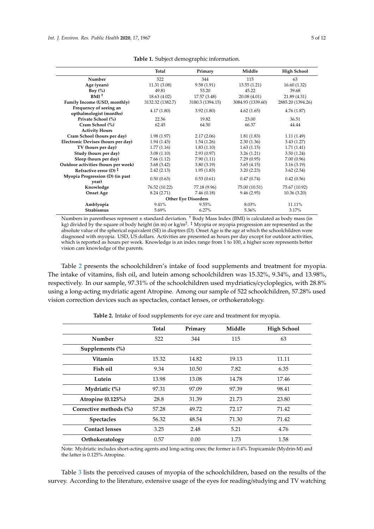<span id="page-4-0"></span>

|                                                   | Total            | Primary                    | Middle            | <b>High School</b> |
|---------------------------------------------------|------------------|----------------------------|-------------------|--------------------|
| Number                                            | 522              | 344                        | 115               | 63                 |
| Age (years)                                       | 11.31 (3.08)     | 9.58 (1.91)                | 13.55(1.21)       | 16.60(1.32)        |
| Boy $(\%)$                                        | 49.81            | 53.20                      | 45.22             | 39.68              |
| $BMI^+$                                           | 18.63 (4.02)     | 17.57 (3.48)               | 20.08 (4.01)      | 21.89 (4.31)       |
| Family Income (USD, monthly)                      | 3132.32 (1382.7) | 3180.3 (1394.15)           | 3084.93 (1339.60) | 2885.20 (1394.26)  |
| Frequency of seeing an<br>opthalmologist (months) | 4.17(1.80)       | 3.92(1.80)                 | 4.62(1.65)        | 4.76(1.87)         |
| Private School (%)                                | 22.56            | 19.82                      | 23.00             | 36.51              |
| Cram School (%)                                   | 62.45            | 64.50                      | 66.37             | 44.44              |
| <b>Activity Hours</b>                             |                  |                            |                   |                    |
| Cram School (hours per day)                       | 1.98(1.97)       | 2.17(2.06)                 | 1.81(1.83)        | 1.11(1.49)         |
| Electronic Devises (hours per day)                | 1.94(1.43)       | 1.54(1.26)                 | 2.30(1.36)        | 3.43(1.27)         |
| TV (hours per day)                                | 1.77(1.16)       | 1.83(1.10)                 | 1.63(1.15)        | 1.71(1.41)         |
| Study (hours per day)                             | 3.08(1.10)       | 2.93(0.97)                 | 3.26(1.21)        | 3.50(1.24)         |
| Sleep (hours per day)                             | 7.66(1.12)       | 7.90(1.11)                 | 7.29(0.95)        | 7.00(0.96)         |
| Outdoor activities (hours per week)               | 3.68(3.42)       | 3.80(3.19)                 | 3.65(4.15)        | 3.16(3.19)         |
| Refractive error (D) $\ddagger$                   | 2.42(2.13)       | 1.95(1.83)                 | 3.20(2.23)        | 3.62(2.54)         |
| Myopia Progression (D) (in past<br>year)          | 0.50(0.63)       | 0.53(0.61)                 | 0.47(0.74)        | 0.42(0.56)         |
| Knowledge                                         | 76.52 (10.22)    | 77.18 (9.96)               | 75.00 (10.51)     | 75.67 (10.92)      |
| <b>Onset Age</b>                                  | 8.24 (2.71)      | 7.46(0.18)                 | 9.46(2.95)        | 10.36(3.20)        |
|                                                   |                  | <b>Other Eye Disorders</b> |                   |                    |
| Amblyopia                                         | 9.41%            | 9.55%                      | 8.03%             | 11.11%             |
| <b>Strabismus</b>                                 | 5.69%            | 6.27%                      | 5.36%             | 3.17%              |

| Table 1. Subject demographic information. |  |  |  |  |  |  |  |  |
|-------------------------------------------|--|--|--|--|--|--|--|--|
|-------------------------------------------|--|--|--|--|--|--|--|--|

Numbers in parentheses represent ± standard deviation. <sup>†</sup> Body Mass Index (BMI) is calculated as body mass (in kg) divided by the square of body height (in m) or kg/m<sup>2</sup>. <sup>‡</sup> Myopia or myopia progression are represented as the absolute value of the spherical equivalent (SE) in dioptres (D). Onset Age is the age at which the schoolchildren were diagnosed with myopia. USD, US dollars. Activities are presented as hours per day except for outdoor activities, which is reported as hours per week. Knowledge is an index range from 1 to 100, a higher score represents better vision care knowledge of the parents.

Table [2](#page-4-1) presents the schoolchildren's intake of food supplements and treatment for myopia. The intake of vitamins, fish oil, and lutein among schoolchildren was 15.32%, 9.34%, and 13.98%, respectively. In our sample, 97.31% of the schoolchildren used mydriatics/cycloplegics, with 28.8% using a long-acting mydriatic agent Atropine. Among our sample of 522 schoolchildren, 57.28% used vision correction devices such as spectacles, contact lenses, or orthokeratology.

<span id="page-4-1"></span>

|                        | <b>Total</b> | Primary | Middle | <b>High School</b> |
|------------------------|--------------|---------|--------|--------------------|
| Number                 | 522          | 344     | 115    | 63                 |
| Supplements (%)        |              |         |        |                    |
| Vitamin                | 15.32        | 14.82   | 19.13  | 11.11              |
| Fish oil               | 9.34         | 10.50   | 7.82   | 6.35               |
| Lutein                 | 13.98        | 13.08   | 14.78  | 17.46              |
| Mydriatic (%)          | 97.31        | 97.09   | 97.39  | 98.41              |
| Atropine (0.125%)      | 28.8         | 31.39   | 21.73  | 23.80              |
| Corrective methods (%) | 57.28        | 49.72   | 72.17  | 71.42              |
| <b>Spectacles</b>      | 56.32        | 48.54   | 71.30  | 71.42              |
| <b>Contact lenses</b>  | 3.25         | 2.48    | 5.21   | 4.76               |
| Orthokeratology        | 0.57         | 0.00    | 1.73   | 1.58               |

**Table 2.** Intake of food supplements for eye care and treatment for myopia.

Note: Mydriatic includes short-acting agents and long-acting ones; the former is 0.4% Tropicamide (Mydrin-M) and the latter is 0.125% Atropine.

Table [3](#page-5-0) lists the perceived causes of myopia of the schoolchildren, based on the results of the survey. According to the literature, extensive usage of the eyes for reading/studying and TV watching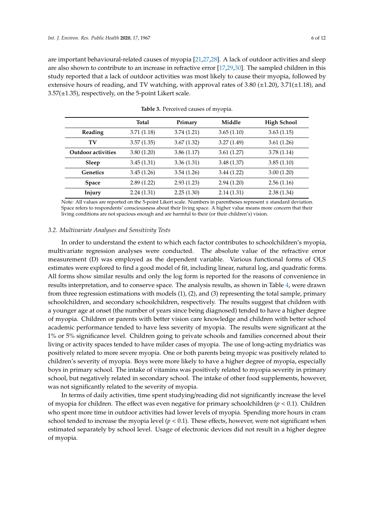are important behavioural-related causes of myopia [\[21](#page-11-5)[,27](#page-11-11)[,28\]](#page-11-12). A lack of outdoor activities and sleep are also shown to contribute to an increase in refractive error [\[17](#page-11-2)[,29](#page-11-13)[,30\]](#page-11-14). The sampled children in this study reported that a lack of outdoor activities was most likely to cause their myopia, followed by extensive hours of reading, and TV watching, with approval rates of 3.80  $(\pm 1.20)$ , 3.71 $(\pm 1.18)$ , and  $3.57(\pm 1.35)$ , respectively, on the 5-point Likert scale.

<span id="page-5-0"></span>

|                           | <b>Total</b> | Primary    | Middle     | <b>High School</b> |
|---------------------------|--------------|------------|------------|--------------------|
| Reading                   | 3.71(1.18)   | 3.74(1.21) | 3.65(1.10) | 3.63(1.15)         |
| TV                        | 3.57(1.35)   | 3.67(1.32) | 3.27(1.49) | 3.61(1.26)         |
| <b>Outdoor activities</b> | 3.80(1.20)   | 3.86(1.17) | 3.61(1.27) | 3.78(1.14)         |
| Sleep                     | 3.45(1.31)   | 3.36(1.31) | 3.48(1.37) | 3.85(1.10)         |
| Genetics                  | 3.45(1.26)   | 3.54(1.26) | 3.44(1.22) | 3.00(1.20)         |
| <b>Space</b>              | 2.89(1.22)   | 2.93(1.23) | 2.94(1.20) | 2.56(1.16)         |
| Injury                    | 2.24(1.31)   | 2.25(1.30) | 2.14(1.31) | 2.38(1.34)         |

**Table 3.** Perceived causes of myopia.

Note: All values are reported on the 5-point Likert scale. Numbers in parentheses represent ± standard deviation. Space refers to respondents' consciousness about their living space. A higher value means more concern that their living conditions are not spacious enough and are harmful to their (or their children's) vision.

#### *3.2. Multivariate Analyses and Sensitivity Tests*

In order to understand the extent to which each factor contributes to schoolchildren's myopia, multivariate regression analyses were conducted. The absolute value of the refractive error measurement (D) was employed as the dependent variable. Various functional forms of OLS estimates were explored to find a good model of fit, including linear, natural log, and quadratic forms. All forms show similar results and only the log form is reported for the reasons of convenience in results interpretation, and to conserve space. The analysis results, as shown in Table [4,](#page-6-0) were drawn from three regression estimations with models (1), (2), and (3) representing the total sample, primary schoolchildren, and secondary schoolchildren, respectively. The results suggest that children with a younger age at onset (the number of years since being diagnosed) tended to have a higher degree of myopia. Children or parents with better vision care knowledge and children with better school academic performance tended to have less severity of myopia. The results were significant at the 1% or 5% significance level. Children going to private schools and families concerned about their living or activity spaces tended to have milder cases of myopia. The use of long-acting mydriatics was positively related to more severe myopia. One or both parents being myopic was positively related to children's severity of myopia. Boys were more likely to have a higher degree of myopia, especially boys in primary school. The intake of vitamins was positively related to myopia severity in primary school, but negatively related in secondary school. The intake of other food supplements, however, was not significantly related to the severity of myopia.

In terms of daily activities, time spent studying/reading did not significantly increase the level of myopia for children. The effect was even negative for primary schoolchildren (*p* < 0.1). Children who spent more time in outdoor activities had lower levels of myopia. Spending more hours in cram school tended to increase the myopia level  $(p < 0.1)$ . These effects, however, were not significant when estimated separately by school level. Usage of electronic devices did not result in a higher degree of myopia.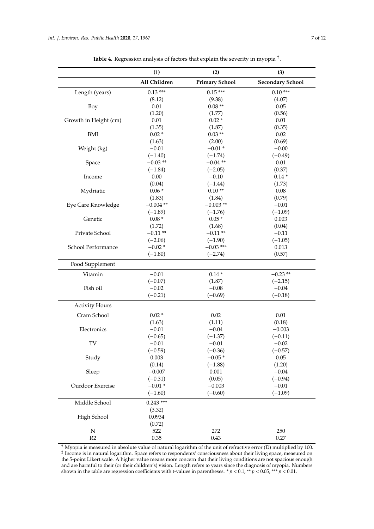<span id="page-6-0"></span>

|                       | (1)          | (2)                   | (3)                     |
|-----------------------|--------------|-----------------------|-------------------------|
|                       | All Children | <b>Primary School</b> | <b>Secondary School</b> |
| Length (years)        | $0.13***$    | $0.15***$             | $0.10***$               |
|                       | (8.12)       | (9.38)                | (4.07)                  |
| Boy                   | $0.01\,$     | $0.08**$              | 0.05                    |
|                       | (1.20)       | (1.77)                | (0.56)                  |
| Growth in Height (cm) | 0.01         | $0.02*$               | 0.01                    |
|                       | (1.35)       | (1.87)                | (0.35)                  |
| BMI                   | $0.02 *$     | $0.03**$              | 0.02                    |
|                       | (1.63)       | (2.00)                | (0.69)                  |
| Weight (kg)           | $-0.01$      | $-0.01*$              | $-0.00$                 |
|                       | $(-1.40)$    | $(-1.74)$             | $(-0.49)$               |
| Space                 | $-0.03**$    | $-0.04$ **            | $0.01\,$                |
|                       | $(-1.84)$    | $(-2.05)$             | (0.37)                  |
| Income                | 0.00         | $-0.10$               | $0.14*$                 |
|                       | (0.04)       | $(-1.44)$             | (1.73)                  |
|                       | $0.06*$      | $0.10**$              | 0.08                    |
| Mydriatic             |              |                       |                         |
|                       | (1.83)       | (1.84)                | (0.79)                  |
| Eye Care Knowledge    | $-0.004$ **  | $-0.003**$            | $-0.01$                 |
|                       | $(-1.89)$    | $(-1.76)$             | $(-1.09)$               |
| Genetic               | $0.08*$      | $0.05*$               | 0.003                   |
|                       | (1.72)       | (1.68)                | (0.04)                  |
| Private School        | $-0.11**$    | $-0.11**$             | $-0.11$                 |
|                       | $(-2.06)$    | $(-1.90)$             | $(-1.05)$               |
| School Performance    | $-0.02*$     | $-0.03$ ***           | 0.013                   |
|                       | $(-1.80)$    | $(-2.74)$             | (0.57)                  |
| Food Supplement       |              |                       |                         |
| Vitamin               | $-0.01$      | $0.14*$               | $-0.23$ **              |
|                       | $(-0.07)$    | (1.87)                | $(-2.15)$               |
| Fish oil              | $-0.02$      | $-0.08$               | $-0.04$                 |
|                       | $(-0.21)$    | $(-0.69)$             | $(-0.18)$               |
| <b>Activity Hours</b> |              |                       |                         |
| Cram School           | $0.02 *$     | 0.02                  | $0.01\,$                |
|                       | (1.63)       | (1.11)                | (0.18)                  |
| Electronics           | $-0.01$      | $-0.04$               | $-0.003$                |
|                       | $(-0.65)$    | $(-1.37)$             | $(-0.11)$               |
| TV                    | $-0.01$      | $-0.01$               | $-0.02$                 |
|                       | $(-0.59)$    | $(-0.36)$             | $(-0.57)$               |
| Study                 | 0.003        | $-0.05*$              | $0.05\,$                |
|                       | (0.14)       | $(-1.88)$             | (1.20)                  |
| Sleep                 | $-0.007$     | 0.001                 | $-0.04$                 |
|                       | $(-0.31)$    | (0.05)                | $(-0.94)$               |
| Ourdoor Exercise      | $-0.01*$     | $-0.003$              | $-0.01$                 |
|                       | $(-1.60)$    | $(-0.60)$             | $(-1.09)$               |
| Middle School         | $0.243$ ***  |                       |                         |
|                       | (3.32)       |                       |                         |
| High School           | 0.0934       |                       |                         |
|                       | (0.72)       |                       |                         |
| N                     | 522          | 272                   | 250                     |
| R <sub>2</sub>        | 0.35         | 0.43                  | 0.27                    |

**Table 4.** Regression analysis of factors that explain the severity in myopia † .

<sup>†</sup> Myopia is measured in absolute value of natural logarithm of the unit of refractive error (D) multiplied by 100.<br><sup>‡</sup> Income is in natural logarithm. Space refers to respondents' consciousness about their living space, the 5-point Likert scale. A higher value means more concern that their living conditions are not spacious enough and are harmful to their (or their children's) vision. Length refers to years since the diagnosis of myopia. Numbers shown in the table are regression coefficients with t-values in parentheses. \*  $p < 0.1$ , \*\*  $p < 0.05$ , \*\*\*  $p < 0.01$ .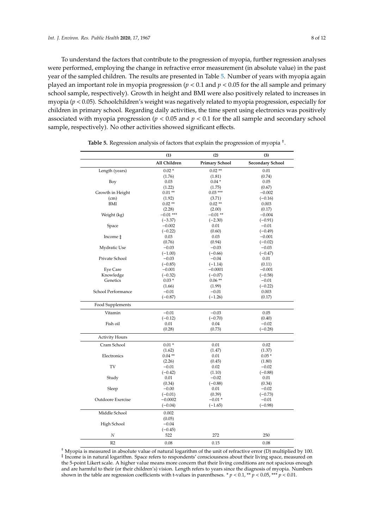To understand the factors that contribute to the progression of myopia, further regression analyses were performed, employing the change in refractive error measurement (in absolute value) in the past year of the sampled children. The results are presented in Table [5.](#page-7-0) Number of years with myopia again played an important role in myopia progression (*p* < 0.1 and *p* < 0.05 for the all sample and primary school sample, respectively). Growth in height and BMI were also positively related to increases in myopia (*p* < 0.05). Schoolchildren's weight was negatively related to myopia progression, especially for children in primary school. Regarding daily activities, the time spent using electronics was positively associated with myopia progression ( $p < 0.05$  and  $p < 0.1$  for the all sample and secondary school sample, respectively). No other activities showed significant effects.

<span id="page-7-0"></span>

|                       | (1)          | (2)                   | (3)                     |
|-----------------------|--------------|-----------------------|-------------------------|
|                       | All Children | <b>Primary School</b> | <b>Secondary School</b> |
| Length (years)        | $0.02*$      | $0.02**$              | 0.01                    |
|                       | (1.76)       | (1.81)                | (0.74)                  |
| Boy                   | 0.03         | $0.04*$               | 0.05                    |
|                       | (1.22)       | (1.75)                | (0.67)                  |
| Growth in Height      | $0.01**$     | $0.03***$             | $-0.002$                |
| (cm)                  | (1.92)       | (3.71)                | $(-0.16)$               |
| <b>BMI</b>            | $0.02**$     | $0.02**$              | 0.003                   |
|                       | (2.28)       | (2.00)                | (0.17)                  |
| Weight (kg)           | $-0.01$ ***  | $-0.01**$             | $-0.004$                |
|                       | $(-3.37)$    | $(-2.30)$             | $(-0.91)$               |
| Space                 | $-0.002$     | 0.01                  | $-0.01$                 |
|                       | $(-0.22)$    | (0.60)                | $(-0.49)$               |
| Income $\ddagger$     | 0.03         | 0.03                  | $-0.001$                |
|                       | (0.76)       | (0.94)                | $(-0.02)$               |
| Mydratic Use          | $-0.03$      | $-0.03$               | $-0.03$                 |
|                       | $(-1.00)$    | $(-0.66)$             | $(-0.47)$               |
| Private School        | $-0.03$      | $-0.04$               | 0.01                    |
|                       | $(-0.85)$    | $(-1.14)$             | (0.11)                  |
| Eye Care              | $-0.001$     | $-0.0001$             | $-0.001$                |
| Knowledge             | $(-0.32)$    | $(-0.07)$             | $(-0.58)$               |
| Genetics              | $0.03*$      | $0.06**$              | $-0.01$                 |
|                       | (1.66)       | (1.99)                | $(-0.22)$               |
| School Performance    | $-0.01$      | $-0.01$               | 0.003                   |
|                       | $(-0.87)$    | $(-1.26)$             | (0.17)                  |
| Food Supplements      |              |                       |                         |
| Vitamin               | $-0.01$      | $-0.03$               | 0.05                    |
|                       | $(-0.12)$    | $(-0.70)$             | (0.40)                  |
| Fish oil              | 0.01         | 0.04                  | $-0.02$                 |
|                       | (0.28)       | (0.73)                | $(-0.28)$               |
| <b>Activity Hours</b> |              |                       |                         |
| Cram School           | $0.01*$      | 0.01                  | 0.02                    |
|                       | (1.62)       | (1.47)                | (1.37)                  |
| Electronics           | $0.04**$     | 0.01                  | $0.05*$                 |
|                       | (2.26)       | (0.45)                | (1.80)                  |
| TV                    | $-0.01$      | 0.02                  | $-0.02$                 |
|                       | $(-0.42)$    | (1.10)                | $(-0.88)$               |
| Study                 | 0.01         | $-0.02$               | 0.01                    |
|                       | (0.34)       | $(-0.88)$             | (0.34)                  |
| Sleep                 | $-0.00$      | 0.01                  | $-0.02$                 |
|                       | $(-0.01)$    | (0.39)                | $(-0.73)$               |
| Outdoore Exercise     | $-0.0002$    | $-0.01*$              | $-0.01$                 |
|                       | $(-0.04)$    | $(-1.65)$             | $(-0.98)$               |
| Middle School         | 0.002        |                       |                         |
|                       | (0.05)       |                       |                         |
| High School           | $-0.04$      |                       |                         |
|                       | $(-0.45)$    |                       |                         |
| $\,N$                 | 522          | 272                   | 250                     |
| R <sub>2</sub>        | 0.08         | 0.15                  | 0.08                    |

**Table 5.** Regression analysis of factors that explain the progression of myopia † .

† Myopia is measured in absolute value of natural logarithm of the unit of refractive error (D) multiplied by 100. ‡ Income is in natural logarithm. Space refers to respondents' consciousness about their living space, measured on the 5-point Likert scale. A higher value means more concern that their living conditions are not spacious enough and are harmful to their (or their children's) vision. Length refers to years since the diagnosis of myopia. Numbers shown in the table are regression coefficients with t-values in parentheses.  $* p < 0.1, ** p < 0.05, ** * p < 0.01$ .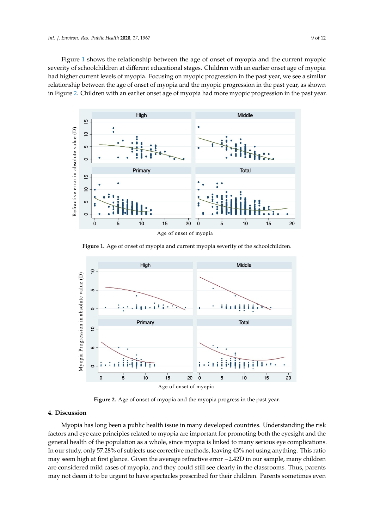Figure [1](#page-8-0) shows the relationship between the age of onset of myopia and the current myopic severity of schoolchildren at different educational stages. Children with an earlier onset age of myopia had higher current levels of myopia. Focusing on myopic progression in the past year, we see a similar relationship between the age of onset of myopia and the myopic progression in the past year, as shown in Figure [2.](#page-8-1) Children with an earlier onset age of myopia had more myopic progression in the past year.

<span id="page-8-0"></span>

<span id="page-8-1"></span>**Figure 1.** Age of onset of myopia and current myopia severity of the schoolchildren.



**Figure 2.** Age of onset of myopia and the myopia progress in the past year. **Figure 2.** Age of onset of myopia and the myopia progress in the past year.

# **4. Discussion**

In our study, only 57.28% of subjects use corrective methods, leaving 43% not using anything. This ratio factors and eye care principles related to myopia are important for promoting both the eyesight and the general health of the population as a whole, since myopia is linked to many serious eye complications. Myopia has long been a public health issue in many developed countries. Understanding the risk may seem high at first glance. Given the average refractive error −2.42D in our sample, many children are considered mild cases of myopia, and they could still see clearly in the classrooms. Thus, parents may not deem it to be urgent to have spectacles prescribed for their children. Parents sometimes even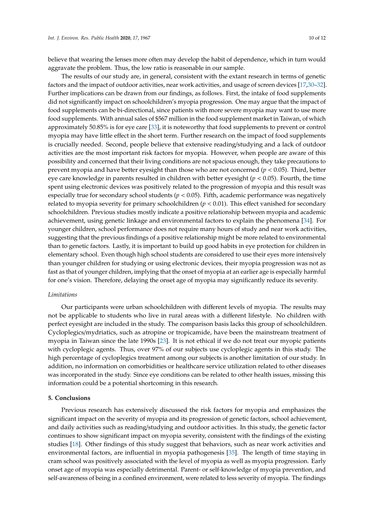believe that wearing the lenses more often may develop the habit of dependence, which in turn would aggravate the problem. Thus, the low ratio is reasonable in our sample.

The results of our study are, in general, consistent with the extant research in terms of genetic factors and the impact of outdoor activities, near work activities, and usage of screen devices [\[17,](#page-11-2)[30–](#page-11-14)[32\]](#page-11-15). Further implications can be drawn from our findings, as follows. First, the intake of food supplements did not significantly impact on schoolchildren's myopia progression. One may argue that the impact of food supplements can be bi-directional, since patients with more severe myopia may want to use more food supplements. With annual sales of \$567 million in the food supplement market in Taiwan, of which approximately 50.85% is for eye care [\[33\]](#page-11-16), it is noteworthy that food supplements to prevent or control myopia may have little effect in the short term. Further research on the impact of food supplements is crucially needed. Second, people believe that extensive reading/studying and a lack of outdoor activities are the most important risk factors for myopia. However, when people are aware of this possibility and concerned that their living conditions are not spacious enough, they take precautions to prevent myopia and have better eyesight than those who are not concerned (*p* < 0.05). Third, better eye care knowledge in parents resulted in children with better eyesight (*p* < 0.05). Fourth, the time spent using electronic devices was positively related to the progression of myopia and this result was especially true for secondary school students ( $p < 0.05$ ). Fifth, academic performance was negatively related to myopia severity for primary schoolchildren  $(p < 0.01)$ . This effect vanished for secondary schoolchildren. Previous studies mostly indicate a positive relationship between myopia and academic achievement, using genetic linkage and environmental factors to explain the phenomena [\[34\]](#page-11-17). For younger children, school performance does not require many hours of study and near work activities, suggesting that the previous findings of a positive relationship might be more related to environmental than to genetic factors. Lastly, it is important to build up good habits in eye protection for children in elementary school. Even though high school students are considered to use their eyes more intensively than younger children for studying or using electronic devices, their myopia progression was not as fast as that of younger children, implying that the onset of myopia at an earlier age is especially harmful for one's vision. Therefore, delaying the onset age of myopia may significantly reduce its severity.

#### *Limitations*

Our participants were urban schoolchildren with different levels of myopia. The results may not be applicable to students who live in rural areas with a different lifestyle. No children with perfect eyesight are included in the study. The comparison basis lacks this group of schoolchildren. Cycloplegics/mydriatics, such as atropine or tropicamide, have been the mainstream treatment of myopia in Taiwan since the late 1990s [\[23\]](#page-11-7). It is not ethical if we do not treat our myopic patients with cycloplegic agents. Thus, over 97% of our subjects use cycloplegic agents in this study. The high percentage of cycloplegics treatment among our subjects is another limitation of our study. In addition, no information on comorbidities or healthcare service utilization related to other diseases was incorporated in the study. Since eye conditions can be related to other health issues, missing this information could be a potential shortcoming in this research.

#### **5. Conclusions**

Previous research has extensively discussed the risk factors for myopia and emphasizes the significant impact on the severity of myopia and its progression of genetic factors, school achievement, and daily activities such as reading/studying and outdoor activities. In this study, the genetic factor continues to show significant impact on myopia severity, consistent with the findings of the existing studies [\[18\]](#page-11-18). Other findings of this study suggest that behaviors, such as near work activities and environmental factors, are influential in myopia pathogenesis [\[35\]](#page-11-19). The length of time staying in cram school was positively associated with the level of myopia as well as myopia progression. Early onset age of myopia was especially detrimental. Parent- or self-knowledge of myopia prevention, and self-awareness of being in a confined environment, were related to less severity of myopia. The findings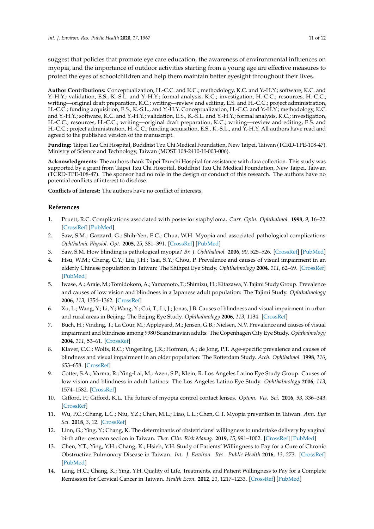suggest that policies that promote eye care education, the awareness of environmental influences on myopia, and the importance of outdoor activities starting from a young age are effective measures to protect the eyes of schoolchildren and help them maintain better eyesight throughout their lives.

**Author Contributions:** Conceptualization, H.-C.C. and K.C.; methodology, K.C. and Y.-H.Y.; software, K.C. and Y.-H.Y.; validation, E.S., K.-S.L. and Y.-H.Y.; formal analysis, K.C.; investigation, H.-C.C.; resources, H.-C.C.; writing—original draft preparation, K.C.; writing—review and editing, E.S. and H.-C.C.; project administration, H.-C.C.; funding acquisition, E.S., K.-S.L., and Y.-H.Y. Conceptualization, H.-C.C. and Y.-H.Y.; methodology, K.C. and Y.-H.Y.; software, K.C. and Y.-H.Y.; validation, E.S., K.-S.L. and Y.-H.Y.; formal analysis, K.C.; investigation, H.-C.C.; resources, H.-C.C.; writing—original draft preparation, K.C.; writing—review and editing, E.S. and H.-C.C.; project administration, H.-C.C.; funding acquisition, E.S., K.-S.L., and Y.-H.Y. All authors have read and agreed to the published version of the manuscript.

**Funding:** Taipei Tzu Chi Hospital, Buddhist Tzu Chi Medical Foundation, New Taipei, Taiwan (TCRD-TPE-108-47). Ministry of Science and Technology, Taiwan (MOST 108-2410-H-003-006).

**Acknowledgments:** The authors thank Taipei Tzu-chi Hospital for assistance with data collection. This study was supported by a grant from Taipei Tzu Chi Hospital, Buddhist Tzu Chi Medical Foundation, New Taipei, Taiwan (TCRD-TPE-108-47). The sponsor had no role in the design or conduct of this research. The authors have no potential conflicts of interest to disclose.

**Conflicts of Interest:** The authors have no conflict of interests.

# **References**

- <span id="page-10-0"></span>1. Pruett, R.C. Complications associated with posterior staphyloma. *Curr. Opin. Ophthalmol.* **1998**, *9*, 16–22. [\[CrossRef\]](http://dx.doi.org/10.1097/00055735-199806000-00004) [\[PubMed\]](http://www.ncbi.nlm.nih.gov/pubmed/10182095)
- 2. Saw, S.M.; Gazzard, G.; Shih-Yen, E.C.; Chua, W.H. Myopia and associated pathological complications. *Ophthalmic Physiol. Opt.* **2005**, *25*, 381–391. [\[CrossRef\]](http://dx.doi.org/10.1111/j.1475-1313.2005.00298.x) [\[PubMed\]](http://www.ncbi.nlm.nih.gov/pubmed/16101943)
- <span id="page-10-1"></span>3. Saw, S.M. How blinding is pathological myopia? *Br. J. Ophthalmol.* **2006**, *90*, 525–526. [\[CrossRef\]](http://dx.doi.org/10.1136/bjo.2005.087999) [\[PubMed\]](http://www.ncbi.nlm.nih.gov/pubmed/16622078)
- <span id="page-10-2"></span>4. Hsu, W.M.; Cheng, C.Y.; Liu, J.H.; Tsai, S.Y.; Chou, P. Prevalence and causes of visual impairment in an elderly Chinese population in Taiwan: The Shihpai Eye Study. *Ophthalmology* **2004**, *111*, 62–69. [\[CrossRef\]](http://dx.doi.org/10.1016/j.ophtha.2003.05.011) [\[PubMed\]](http://www.ncbi.nlm.nih.gov/pubmed/14711715)
- 5. Iwase, A.; Araie, M.; Tomidokoro, A.; Yamamoto, T.; Shimizu, H.; Kitazawa, Y. Tajimi Study Group. Prevalence and causes of low vision and blindness in a Japanese adult population: The Tajimi Study. *Ophthalmology* **2006**, *113*, 1354–1362. [\[CrossRef\]](http://dx.doi.org/10.1016/j.ophtha.2006.04.022)
- 6. Xu, L.; Wang, Y.; Li, Y.; Wang, Y.; Cui, T.; Li, J.; Jonas, J.B. Causes of blindness and visual impairment in urban and rural areas in Beijing: The Beijing Eye Study. *Ophthalmology* **2006**, *113*, 1134. [\[CrossRef\]](http://dx.doi.org/10.1016/j.ophtha.2006.01.035)
- 7. Buch, H.; Vinding, T.; La Cour, M.; Appleyard, M.; Jensen, G.B.; Nielsen, N.V. Prevalence and causes of visual impairment and blindness among 9980 Scandinavian adults: The Copenhagen City Eye Study. *Ophthalmology* **2004**, *111*, 53–61. [\[CrossRef\]](http://dx.doi.org/10.1016/j.ophtha.2003.05.010)
- 8. Klaver, C.C.; Wolfs, R.C.; Vingerling, J.R.; Hofman, A.; de Jong, P.T. Age-specific prevalence and causes of blindness and visual impairment in an older population: The Rotterdam Study. *Arch. Ophthalmol.* **1998**, *116*, 653–658. [\[CrossRef\]](http://dx.doi.org/10.1001/archopht.116.5.653)
- <span id="page-10-3"></span>9. Cotter, S.A.; Varma, R.; Ying-Lai, M.; Azen, S.P.; Klein, R. Los Angeles Latino Eye Study Group. Causes of low vision and blindness in adult Latinos: The Los Angeles Latino Eye Study. *Ophthalmology* **2006**, *113*, 1574–1582. [\[CrossRef\]](http://dx.doi.org/10.1016/j.ophtha.2006.05.002)
- <span id="page-10-4"></span>10. Gifford, P.; Gifford, K.L. The future of myopia control contact lenses. *Optom. Vis. Sci.* **2016**, *93*, 336–343. [\[CrossRef\]](http://dx.doi.org/10.1097/OPX.0000000000000762)
- <span id="page-10-5"></span>11. Wu, P.C.; Chang, L.C.; Niu, Y.Z.; Chen, M.L.; Liao, L.L.; Chen, C.T. Myopia prevention in Taiwan. *Ann. Eye Sci.* **2018**, *3*, 12. [\[CrossRef\]](http://dx.doi.org/10.21037/aes.2018.01.05)
- <span id="page-10-6"></span>12. Linn, G.; Ying, Y.; Chang, K. The determinants of obstetricians' willingness to undertake delivery by vaginal birth after cesarean section in Taiwan. *Ther. Clin. Risk Manag.* **2019**, *15*, 991–1002. [\[CrossRef\]](http://dx.doi.org/10.2147/TCRM.S205009) [\[PubMed\]](http://www.ncbi.nlm.nih.gov/pubmed/31496714)
- <span id="page-10-8"></span>13. Chen, Y.T.; Ying, Y.H.; Chang, K.; Hsieh, Y.H. Study of Patients' Willingness to Pay for a Cure of Chronic Obstructive Pulmonary Disease in Taiwan. *Int. J. Environ. Res. Public Health* **2016**, *13*, 273. [\[CrossRef\]](http://dx.doi.org/10.3390/ijerph13030273) [\[PubMed\]](http://www.ncbi.nlm.nih.gov/pubmed/26938547)
- <span id="page-10-7"></span>14. Lang, H.C.; Chang, K.; Ying, Y.H. Quality of Life, Treatments, and Patient Willingness to Pay for a Complete Remission for Cervical Cancer in Taiwan. *Health Econ.* **2012**, *21*, 1217–1233. [\[CrossRef\]](http://dx.doi.org/10.1002/hec.1786) [\[PubMed\]](http://www.ncbi.nlm.nih.gov/pubmed/21905153)